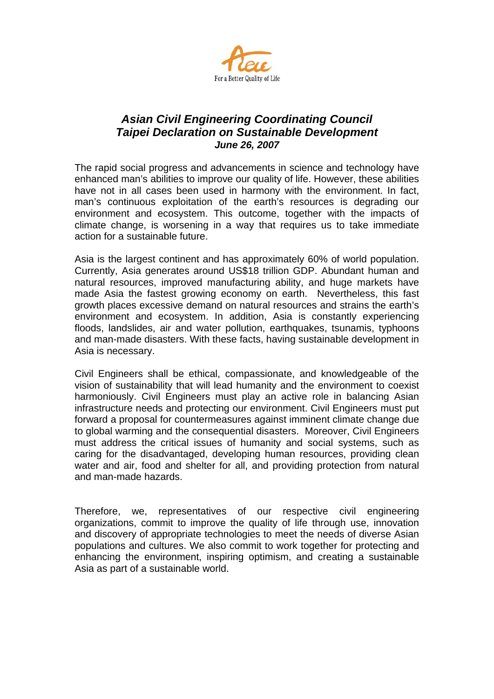

## *Asian Civil Engineering Coordinating Council Taipei Declaration on Sustainable Development June 26, 2007*

The rapid social progress and advancements in science and technology have enhanced man's abilities to improve our quality of life. However, these abilities have not in all cases been used in harmony with the environment. In fact, man's continuous exploitation of the earth's resources is degrading our environment and ecosystem. This outcome, together with the impacts of climate change, is worsening in a way that requires us to take immediate action for a sustainable future.

Asia is the largest continent and has approximately 60% of world population. Currently, Asia generates around US\$18 trillion GDP. Abundant human and natural resources, improved manufacturing ability, and huge markets have made Asia the fastest growing economy on earth. Nevertheless, this fast growth places excessive demand on natural resources and strains the earth's environment and ecosystem. In addition, Asia is constantly experiencing floods, landslides, air and water pollution, earthquakes, tsunamis, typhoons and man-made disasters. With these facts, having sustainable development in Asia is necessary.

Civil Engineers shall be ethical, compassionate, and knowledgeable of the vision of sustainability that will lead humanity and the environment to coexist harmoniously. Civil Engineers must play an active role in balancing Asian infrastructure needs and protecting our environment. Civil Engineers must put forward a proposal for countermeasures against imminent climate change due to global warming and the consequential disasters. Moreover, Civil Engineers must address the critical issues of humanity and social systems, such as caring for the disadvantaged, developing human resources, providing clean water and air, food and shelter for all, and providing protection from natural and man-made hazards.

Therefore, we, representatives of our respective civil engineering organizations, commit to improve the quality of life through use, innovation and discovery of appropriate technologies to meet the needs of diverse Asian populations and cultures. We also commit to work together for protecting and enhancing the environment, inspiring optimism, and creating a sustainable Asia as part of a sustainable world.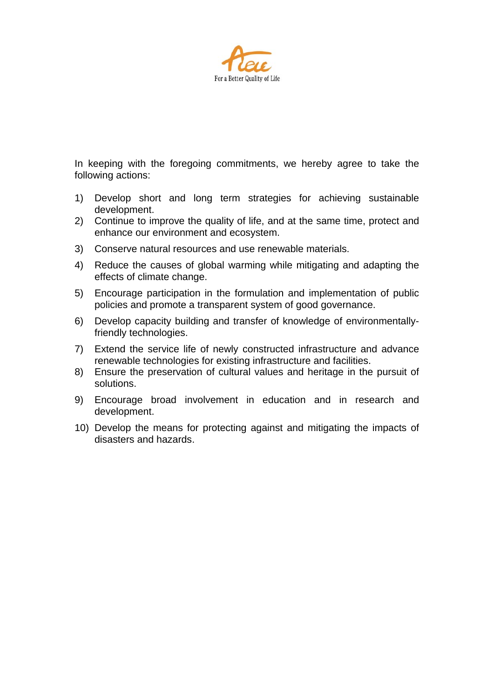

In keeping with the foregoing commitments, we hereby agree to take the following actions:

- 1) Develop short and long term strategies for achieving sustainable development.
- 2) Continue to improve the quality of life, and at the same time, protect and enhance our environment and ecosystem.
- 3) Conserve natural resources and use renewable materials.
- 4) Reduce the causes of global warming while mitigating and adapting the effects of climate change.
- 5) Encourage participation in the formulation and implementation of public policies and promote a transparent system of good governance.
- 6) Develop capacity building and transfer of knowledge of environmentallyfriendly technologies.
- 7) Extend the service life of newly constructed infrastructure and advance renewable technologies for existing infrastructure and facilities.
- 8) Ensure the preservation of cultural values and heritage in the pursuit of solutions.
- 9) Encourage broad involvement in education and in research and development.
- 10) Develop the means for protecting against and mitigating the impacts of disasters and hazards.